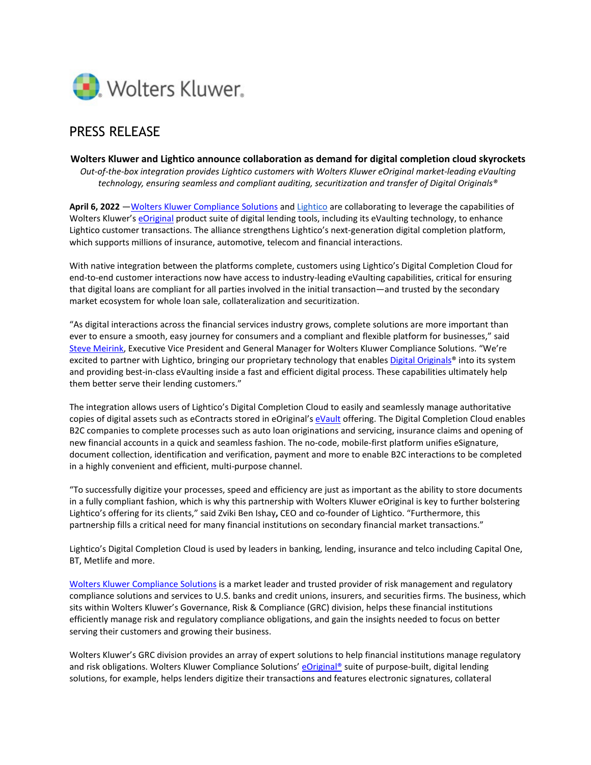

## PRESS RELEASE

## **Wolters Kluwer and Lightico announce collaboration as demand for digital completion cloud skyrockets**

*Out-of-the-box integration provides Lightico customers with Wolters Kluwer eOriginal market-leading eVaulting technology, ensuring seamless and compliant auditing, securitization and transfer of Digital Originals®*

**April 6, 2022** [—Wolters Kluwer Compliance Solutions](https://www.wolterskluwer.com/en/solutions/banking-finance-risk-reporting-compliance?utm_medium=communications&utm_source=businesswire&utm_campaign=grc_cs_evault_cta-click_lightico_22.04) and [Lightico a](http://www.lightico.com/)re collaborating to leverage the capabilities of Wolters Kluwer'[s eOriginal](https://www.wolterskluwer.com/en/solutions/eoriginal?utm_medium=communications&utm_source=businesswire&utm_campaign=grc_cs_evault_cta-click_lightico_22.04) product suite of digital lending tools, including its eVaulting technology, to enhance Lightico customer transactions. The alliance strengthens Lightico's next-generation digital completion platform, which supports millions of insurance, automotive, telecom and financial interactions.

With native integration between the platforms complete, customers using Lightico's Digital Completion Cloud for end-to-end customer interactions now have access to industry-leading eVaulting capabilities, critical for ensuring that digital loans are compliant for all parties involved in the initial transaction—and trusted by the secondary market ecosystem for whole loan sale, collateralization and securitization.

"As digital interactions across the financial services industry grows, complete solutions are more important than ever to ensure a smooth, easy journey for consumers and a compliant and flexible platform for businesses," said [Steve Meirink,](https://www.wolterskluwer.com/en/experts/steven-meirink?utm_medium=communications&utm_source=businesswire&utm_campaign=grc_cs_evault_cta-click_lightico_22.04) Executive Vice President and General Manager for Wolters Kluwer Compliance Solutions. "We're excited to partner with Lightico, bringing our proprietary technology that enable[s Digital Originals®](https://www.wolterskluwer.com/en/expert-insights/turn-ink-signed-documents-into-digital-original-assets-with-paper-in?utm_medium=communications&utm_source=businesswire&utm_campaign=grc_cs_evault_page-read_lightico_22.04) into its system and providing best-in-class eVaulting inside a fast and efficient digital process. These capabilities ultimately help them better serve their lending customers."

The integration allows users of Lightico's Digital Completion Cloud to easily and seamlessly manage authoritative copies of digital assets such as eContracts stored in eOriginal's [eVault](https://www.wolterskluwer.com/en/solutions/eoriginal/assets-management?utm_medium=communications&utm_source=businesswire&utm_campaign=grc_cs_evault_cta-click_lightico_22.04) offering. The Digital Completion Cloud enables B2C companies to complete processes such as auto loan originations and servicing, insurance claims and opening of new financial accounts in a quick and seamless fashion. The no-code, mobile-first platform unifies eSignature, document collection, identification and verification, payment and more to enable B2C interactions to be completed in a highly convenient and efficient, multi-purpose channel.

"To successfully digitize your processes, speed and efficiency are just as important as the ability to store documents in a fully compliant fashion, which is why this partnership with Wolters Kluwer eOriginal is key to further bolstering Lightico's offering for its clients," said Zviki Ben Ishay**,** CEO and co-founder of Lightico. "Furthermore, this partnership fills a critical need for many financial institutions on secondary financial market transactions."

Lightico's Digital Completion Cloud is used by leaders in banking, lending, insurance and telco including Capital One, BT, Metlife and more.

[Wolters Kluwer Compliance Solutions](https://www.wolterskluwer.com/en/solutions/banking-finance-risk-reporting-compliance?utm_medium=communications&utm_source=businesswire&utm_campaign=grc_cs_evault_cta-click_lightico_22.04) is a market leader and trusted provider of risk management and regulatory compliance solutions and services to U.S. banks and credit unions, insurers, and securities firms. The business, which sits within Wolters Kluwer's Governance, Risk & Compliance (GRC) division, helps these financial institutions efficiently manage risk and regulatory compliance obligations, and gain the insights needed to focus on better serving their customers and growing their business.

Wolters Kluwer's GRC division provides an array of expert solutions to help financial institutions manage regulatory and risk obligations. Wolters Kluwer Compliance Solutions' eOriginal<sup>®</sup> suite of purpose-built, digital lending solutions, for example, helps lenders digitize their transactions and features electronic signatures, collateral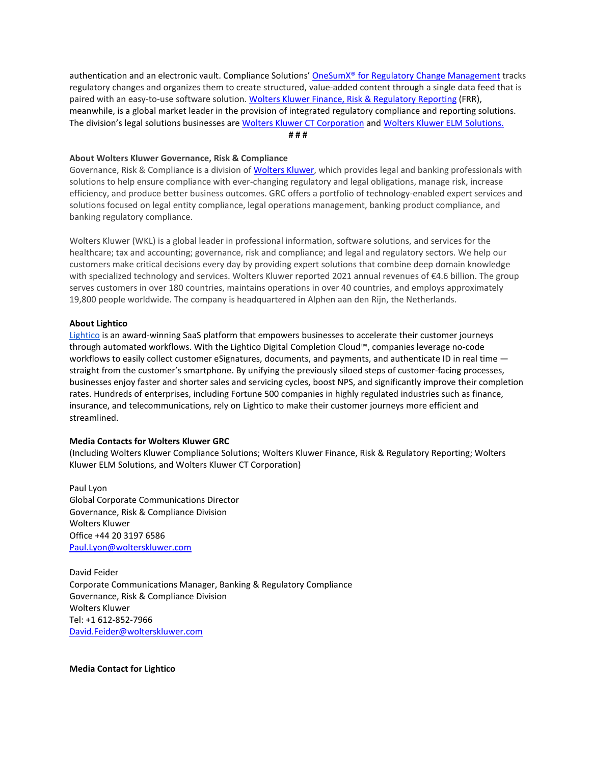authentication and an electronic vault. Compliance Solutions[' OneSumX® for Regulatory Change Management](https://www.wolterskluwer.com/en/solutions/onesumx-for-compliance-program-management/onesumx-for-regulatory-change-management?utm_medium=communications&utm_source=businesswire&utm_campaign=grc_cs_evault_cta-click_lightico_22.04) tracks regulatory changes and organizes them to create structured, value-added content through a single data feed that is paired with an easy-to-use software solution. [Wolters Kluwer Finance, Risk & Regulatory Reporting](https://www.wolterskluwer.com/en/solutions/onesumx-for-finance-risk-and-regulatory-reporting?utm_medium=communications&utm_source=businesswire&utm_campaign=grc_cs_evault_cta-click_lightico_22.04) (FRR), meanwhile, is a global market leader in the provision of integrated regulatory compliance and reporting solutions. The division's legal solutions businesses are [Wolters Kluwer CT Corporation](https://www.wolterskluwer.com/en/solutions/ct-corporation?utm_medium=communications&utm_source=businesswire&utm_campaign=grc_cs_evault_cta-click_lightico_22.04) and [Wolters Kluwer ELM Solutions.](https://www.wolterskluwer.com/en/solutions/enterprise-legal-management?utm_medium=communications&utm_source=businesswire&utm_campaign=grc_cs_evault_cta-click_lightico_22.04)  **# # #**

**About Wolters Kluwer Governance, Risk & Compliance** 

Governance, Risk & Compliance is a division o[f Wolters Kluwer,](http://www.wolterskluwer.com/?utm_medium=communications&utm_source=businesswire&utm_campaign=grc_cs_evault_cta-click_lightico_22.04) which provides legal and banking professionals with solutions to help ensure compliance with ever-changing regulatory and legal obligations, manage risk, increase efficiency, and produce better business outcomes. GRC offers a portfolio of technology-enabled expert services and solutions focused on legal entity compliance, legal operations management, banking product compliance, and banking regulatory compliance.

Wolters Kluwer (WKL) is a global leader in professional information, software solutions, and services for the healthcare; tax and accounting; governance, risk and compliance; and legal and regulatory sectors. We help our customers make critical decisions every day by providing expert solutions that combine deep domain knowledge with specialized technology and services. Wolters Kluwer reported 2021 annual revenues of €4.6 billion. The group serves customers in over 180 countries, maintains operations in over 40 countries, and employs approximately 19,800 people worldwide. The company is headquartered in Alphen aan den Rijn, the Netherlands.

## **About Lightico**

[Lightico](https://www.lightico.com/) is an award-winning SaaS platform that empowers businesses to accelerate their customer journeys through automated workflows. With the Lightico Digital Completion Cloud™, companies leverage no-code workflows to easily collect customer eSignatures, documents, and payments, and authenticate ID in real time  $$ straight from the customer's smartphone. By unifying the previously siloed steps of customer-facing processes, businesses enjoy faster and shorter sales and servicing cycles, boost NPS, and significantly improve their completion rates. Hundreds of enterprises, including Fortune 500 companies in highly regulated industries such as finance, insurance, and telecommunications, rely on Lightico to make their customer journeys more efficient and streamlined.

## **Media Contacts for Wolters Kluwer GRC**

(Including Wolters Kluwer Compliance Solutions; Wolters Kluwer Finance, Risk & Regulatory Reporting; Wolters Kluwer ELM Solutions, and Wolters Kluwer CT Corporation)

Paul Lyon Global Corporate Communications Director Governance, Risk & Compliance Division Wolters Kluwer Office +44 20 3197 6586 [Paul.Lyon@wolterskluwer.com](mailto:Paul.Lyon@wolterskluwer.com) 

David Feider Corporate Communications Manager, Banking & Regulatory Compliance Governance, Risk & Compliance Division Wolters Kluwer Tel: +1 612-852-7966 [David.Feider@wolterskluwer.com](mailto:David.Feider@wolterskluwer.com) 

**Media Contact for Lightico**